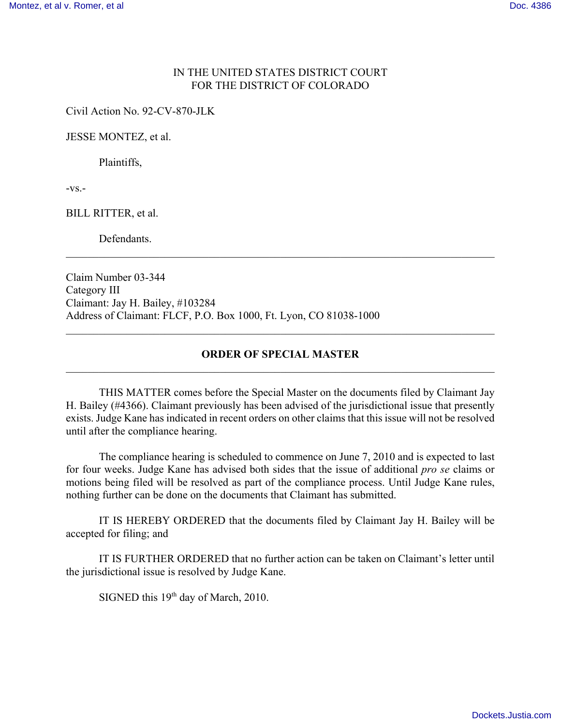## IN THE UNITED STATES DISTRICT COURT FOR THE DISTRICT OF COLORADO

Civil Action No. 92-CV-870-JLK

JESSE MONTEZ, et al.

Plaintiffs,

 $-VS$ . $-$ 

BILL RITTER, et al.

**Defendants** 

Claim Number 03-344 Category III Claimant: Jay H. Bailey, #103284 Address of Claimant: FLCF, P.O. Box 1000, Ft. Lyon, CO 81038-1000

## **ORDER OF SPECIAL MASTER**  $\mathcal{L}_\mathcal{L} = \{ \mathcal{L}_\mathcal{L} = \{ \mathcal{L}_\mathcal{L} = \{ \mathcal{L}_\mathcal{L} = \{ \mathcal{L}_\mathcal{L} = \{ \mathcal{L}_\mathcal{L} = \{ \mathcal{L}_\mathcal{L} = \{ \mathcal{L}_\mathcal{L} = \{ \mathcal{L}_\mathcal{L} = \{ \mathcal{L}_\mathcal{L} = \{ \mathcal{L}_\mathcal{L} = \{ \mathcal{L}_\mathcal{L} = \{ \mathcal{L}_\mathcal{L} = \{ \mathcal{L}_\mathcal{L} = \{ \mathcal{L}_\mathcal{$

 $\mathcal{L}_\mathcal{L} = \{ \mathcal{L}_\mathcal{L} = \{ \mathcal{L}_\mathcal{L} = \{ \mathcal{L}_\mathcal{L} = \{ \mathcal{L}_\mathcal{L} = \{ \mathcal{L}_\mathcal{L} = \{ \mathcal{L}_\mathcal{L} = \{ \mathcal{L}_\mathcal{L} = \{ \mathcal{L}_\mathcal{L} = \{ \mathcal{L}_\mathcal{L} = \{ \mathcal{L}_\mathcal{L} = \{ \mathcal{L}_\mathcal{L} = \{ \mathcal{L}_\mathcal{L} = \{ \mathcal{L}_\mathcal{L} = \{ \mathcal{L}_\mathcal{$ 

 $\mathcal{L}_\mathcal{L} = \{ \mathcal{L}_\mathcal{L} = \{ \mathcal{L}_\mathcal{L} = \{ \mathcal{L}_\mathcal{L} = \{ \mathcal{L}_\mathcal{L} = \{ \mathcal{L}_\mathcal{L} = \{ \mathcal{L}_\mathcal{L} = \{ \mathcal{L}_\mathcal{L} = \{ \mathcal{L}_\mathcal{L} = \{ \mathcal{L}_\mathcal{L} = \{ \mathcal{L}_\mathcal{L} = \{ \mathcal{L}_\mathcal{L} = \{ \mathcal{L}_\mathcal{L} = \{ \mathcal{L}_\mathcal{L} = \{ \mathcal{L}_\mathcal{$ 

THIS MATTER comes before the Special Master on the documents filed by Claimant Jay H. Bailey (#4366). Claimant previously has been advised of the jurisdictional issue that presently exists. Judge Kane has indicated in recent orders on other claims that this issue will not be resolved until after the compliance hearing.

The compliance hearing is scheduled to commence on June 7, 2010 and is expected to last for four weeks. Judge Kane has advised both sides that the issue of additional *pro se* claims or motions being filed will be resolved as part of the compliance process. Until Judge Kane rules, nothing further can be done on the documents that Claimant has submitted.

IT IS HEREBY ORDERED that the documents filed by Claimant Jay H. Bailey will be accepted for filing; and

IT IS FURTHER ORDERED that no further action can be taken on Claimant's letter until the jurisdictional issue is resolved by Judge Kane.

SIGNED this  $19<sup>th</sup>$  day of March, 2010.